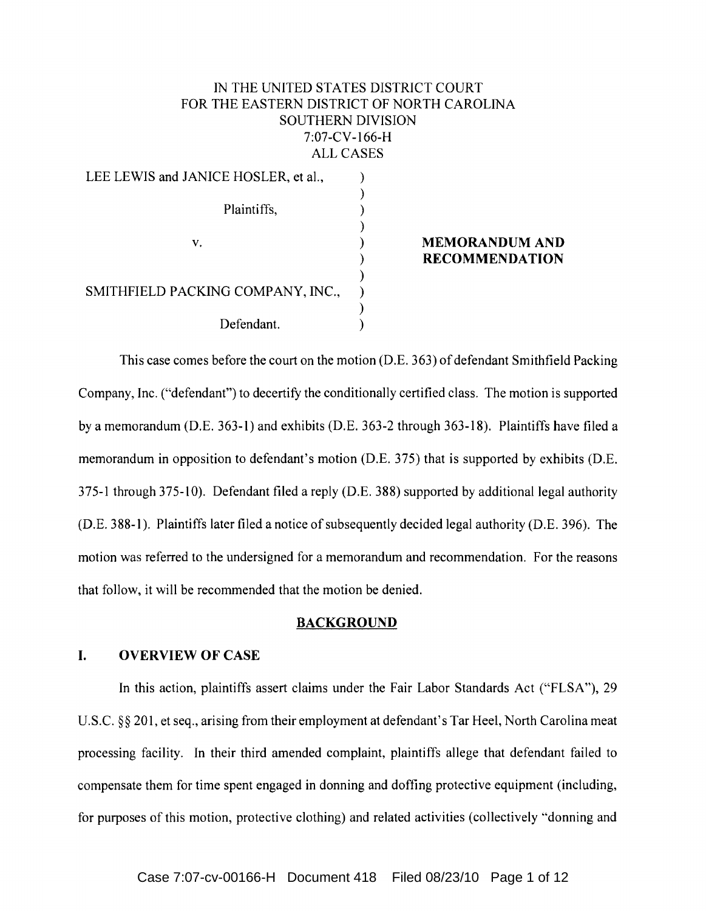# IN THE UNITED STATES DISTRICT COURT FOR THE EASTERN DISTRICT OF NORTH CAROLINA SOUTHERN" DIVISION 7:07-CV-166-H ALL CASES

| LEE LEWIS and JANICE HOSLER, et al., |  |
|--------------------------------------|--|
| Plaintiffs,                          |  |
| V.                                   |  |
| SMITHFIELD PACKING COMPANY, INC.,    |  |
| Defendant.                           |  |

## **MEMORANDUM AND RECOMMENDATION**

This case comes before the court on the motion (D.E. 363) of defendant Smithfield Packing Company, Inc. ("defendant") to decertify the conditionally certified class. The motion is supported by a memorandum (D.E. 363-1) and exhibits (D.E. 363-2 through 363-18). Plaintiffs have filed a memorandum in opposition to defendant's motion (D.E. 375) that is supported by exhibits (D.E. 375-1 through 375-10). Defendant filed a reply (D.E. 388) supported by additional legal authority (D.E. 388-1). Plaintiffs later filed a notice of subsequently decided legal authority (D.E. 396). The motion was referred to the undersigned for a memorandum and recommendation. For the reasons that follow, it will be recommended that the motion be denied.

## **BACKGROUND**

## **I. OVERVIEW OF CASE**

**In** this action, plaintiffs assert claims under the Fair Labor Standards Act ("FLSA"), 29 U.S.C. §§ 201, et seq., arising from their employment at defendant's Tar Heel, North Carolina meat processing facility. **In** their third amended complaint, plaintiffs allege that defendant failed to compensate them for time spent engaged in donning and doffing protective equipment (including, for purposes of this motion, protective clothing) and related activities (collectively "donning and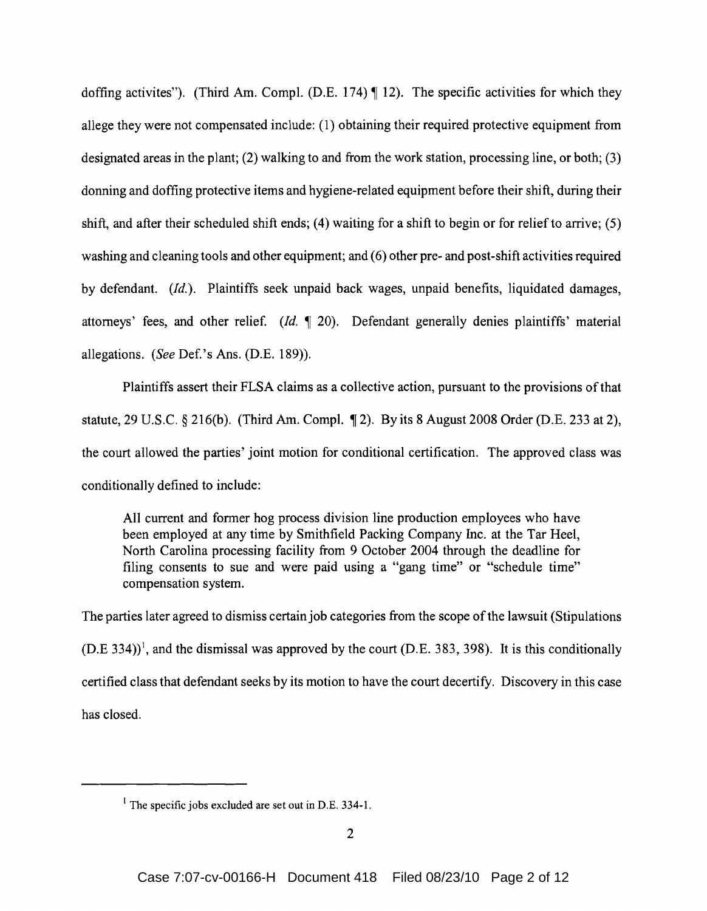doffing activites"). (Third Am. Compl. (D.E. 174)  $\P$  12). The specific activities for which they allege they were not compensated include: (1) obtaining their required protective equipment from designated areas in the plant; (2) walking to and from the work station, processing line, or both; (3) donning and doffing protective items and hygiene-related equipment before their shift, during their shift, and after their scheduled shift ends; (4) waiting for a shift to begin or for relief to arrive; (5) washing and cleaning tools and other equipment; and (6) other pre- and post-shift activities required by defendant. *(Id.).* Plaintiffs seek unpaid back wages, unpaid benefits, liquidated damages, attorneys' fees, and other relief. (Id. 1 20). Defendant generally denies plaintiffs' material allegations. (See Def.'s Ans. (D.E. 189)).

Plaintiffs assert their FLSA claims as a collective action, pursuant to the provisions of that statute, 29 U.S.C. § 216(b). (Third Am. Compl.  $\P$ 2). By its 8 August 2008 Order (D.E. 233 at 2), the court allowed the parties' joint motion for conditional certification. The approved class was conditionally defined to include:

All current and former hog process division line production employees who have been employed at any time by Smithfield Packing Company Inc. at the Tar Heel, North Carolina processing facility from 9 October 2004 through the deadline for filing consents to sue and were paid using a "gang time" or "schedule time" compensation system.

The parties later agreed to dismiss certain job categories from the scope of the lawsuit (Stipulations  $(D.E. 334)$ <sup>1</sup>, and the dismissal was approved by the court (D.E. 383, 398). It is this conditionally certified class that defendant seeks by its motion to have the court decertify. Discovery in this case has closed.

<sup>&</sup>lt;sup>1</sup> The specific jobs excluded are set out in D.E. 334-1.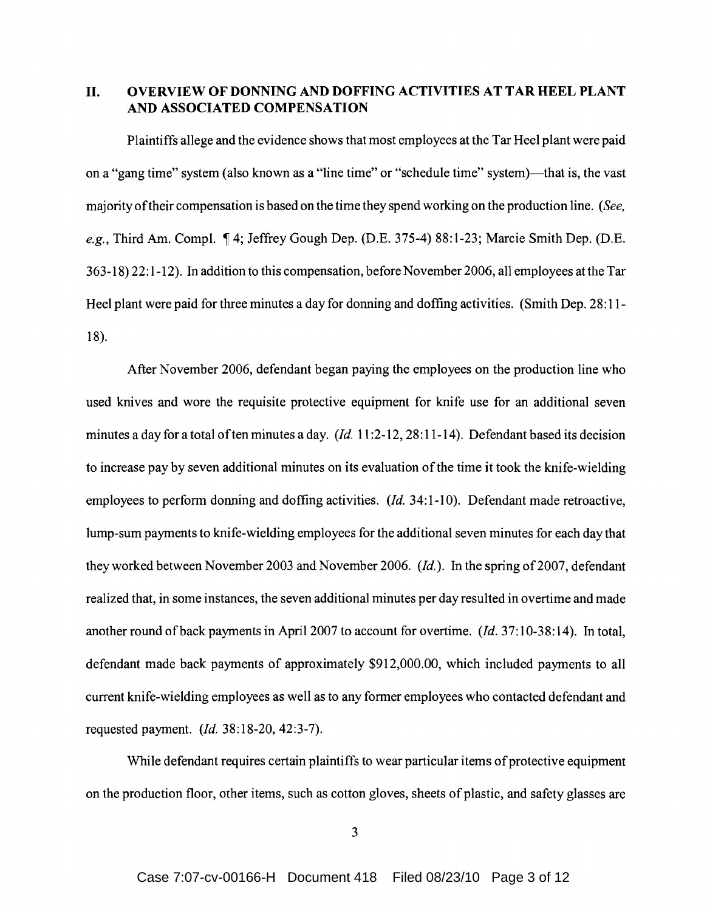II. OVERVIEW OF DONNING AND DOFFING ACTIVITIES AT TAR HEEL PLANT AND ASSOCIATED COMPENSATION

Plaintiffs allege and the evidence shows that most employees at the Tar Heel plant were paid on a "gang time" system (also known as a "line time" or "schedule time" system)—that is, the vast majority oftheir compensation is based on the time they spend working on the production line. *(See,*  e.g., Third Am. Compl. 14; Jeffrey Gough Dep. (D.E. 375-4) 88:1-23; Marcie Smith Dep. (D.E. 363-18) 22: 1-12). In addition to this compensation, before November 2006, all employees at the Tar Heel plant were paid for three minutes a day for donning and doffing activities. (Smith Dep. 28:11-18).

After November 2006, defendant began paying the employees on the production line who used knives and wore the requisite protective equipment for knife use for an additional seven minutes a day for a total often minutes a day. *(Id.* 11 :2-12, 28: 11-14). Defendant based its decision to increase pay by seven additional minutes on its evaluation ofthe time it took the knife-wielding employees to perform donning and doffing activities. (*Id.* 34:1-10). Defendant made retroactive, lump-sum payments to knife-wielding employees for the additional seven minutes for each day that they worked between November 2003 and November 2006. *(Id.)*. In the spring of 2007, defendant realized that, in some instances, the seven additional minutes per day resulted in overtime and made another round of back payments in April 2007 to account for overtime. (*Id.* 37:10-38:14). In total, defendant made back payments of approximately \$912,000.00, which included payments to all current knife-wielding employees as well as to any former employees who contacted defendant and requested payment. *(Id.* 38:18-20,42:3-7).

While defendant requires certain plaintiffs to wear particular items of protective equipment on the production floor, other items, such as cotton gloves, sheets of plastic, and safety glasses are

3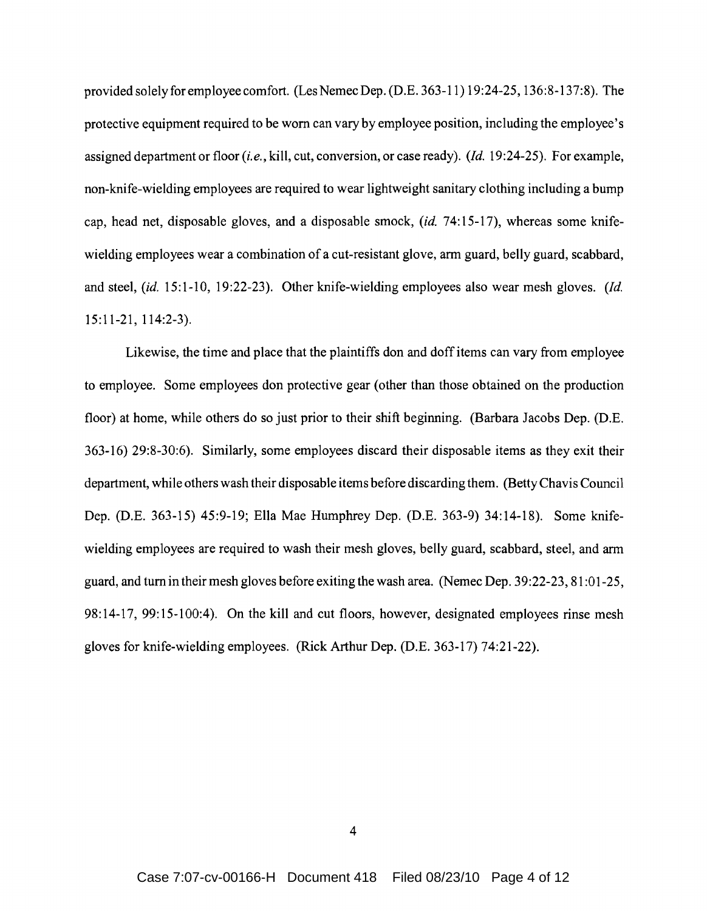provided solely for employee comfort. (Les Nemec Dep. (D.E. 363-11) 19:24-25, 136:8-137:8). The protective equipment required to be worn can vary by employee position, including the employee's assigned department or floor *(i.e.,* kill, cut, conversion, or case ready). *(Id.* 19:24-25). For example, non-knife-wielding employees are required to wear lightweight sanitary clothing including a bump cap, head net, disposable gloves, and a disposable smock, *(id.* 74: 15-17), whereas some knifewielding employees wear a combination of a cut-resistant glove, arm guard, belly guard, scabbard, and steel, *(id.* 15:1-10, 19:22-23). Other knife-wielding employees also wear mesh gloves. *(Id.*  15:11-21, 114:2-3).

Likewise, the time and place that the plaintiffs don and doff items can vary from employee to employee. Some employees don protective gear (other than those obtained on the production floor) at home, while others do so just prior to their shift beginning. (Barbara Jacobs Dep. (D.E. 363-16) 29:8-30:6). Similarly, some employees discard their disposable items as they exit their department, while others wash their disposable items before discarding them. (Betty Chavis Council Dep. (D.E. 363-15) 45:9-19; Ella Mae Humphrey Dep. (D.E. 363-9) 34:14-18). Some knifewielding employees are required to wash their mesh gloves, belly guard, scabbard, steel, and arm guard, and turn in their mesh gloves before exiting the wash area. (Nemec Dep. 39:22-23, 81 :01-25, 98:14-17,99:15-100:4). On the kill and cut floors, however, designated employees rinse mesh gloves for knife-wielding employees. (Rick Arthur Dep. (D.E. 363-17) 74:21-22).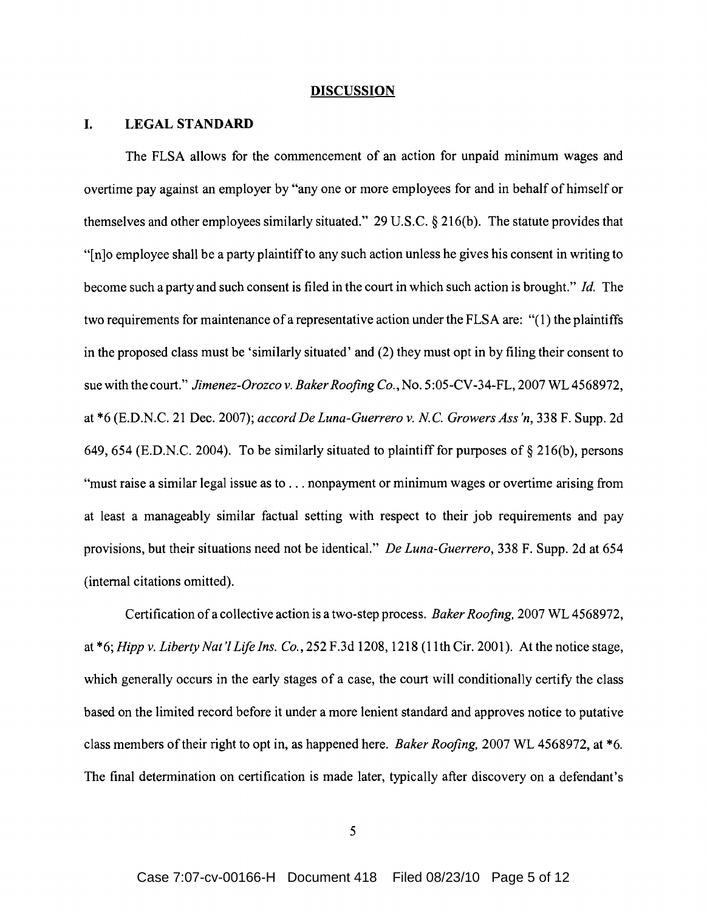#### **DISCUSSION**

### **I.** LEGAL STANDARD

The FLSA allows for the commencement of an action for unpaid minimum wages and overtime pay against an employer by "anyone or more employees for and in behalf of himself or themselves and other employees similarly situated." 29 U.S.c. § 2l6(b). The statute provides that "[n]o employee shall be a party plaintiffto any such action unless he gives his consent in writing to become such a party and such consent is filed in the court in which such action is brought." *Id.* The two requirements for maintenance of a representative action under the FLSA are: "(1) the plaintiffs in the proposed class must be 'similarly situated' and (2) they must opt in by filing their consent to sue with the court." *Jimenez-Orozco v. Baker Roofing Co.*, No. 5:05-CV-34-FL, 2007 WL 4568972, at \*6 (E.D.N.C. 21 Dec. 2007); *accord De Luna-Guerrero v.* N.c. *Growers Ass 'n,* 338 F. Supp. 2d 649,654 (E.D.N.C. 2004). To be similarly situated to plaintiff for purposes of § 216(b), persons "must raise a similar legal issue as to ... nonpayment or minimum wages or overtime arising from at least a manageably similar factual setting with respect to their job requirements and pay provisions, but their situations need not be identical." *De Luna-Guerrero,* 338 F. Supp. 2d at 654 (internal citations omitted).

Certification of a collective action is a two-step process. *Baker Roofing,* 2007 WL 4568972, at \*6; *Hipp v. Liberty Nat'l Life Ins. Co.,* 252 F.3d 1208, 1218 (lIth Cir. 2001). At the notice stage, which generally occurs in the early stages of a case, the court will conditionally certify the class based on the limited record before it under a more lenient standard and approves notice to putative class members oftheir right to opt in, as happened here. *Baker Roofing,* 2007 WL 4568972, at \*6. The final determination on certification is made later, typically after discovery on a defendant's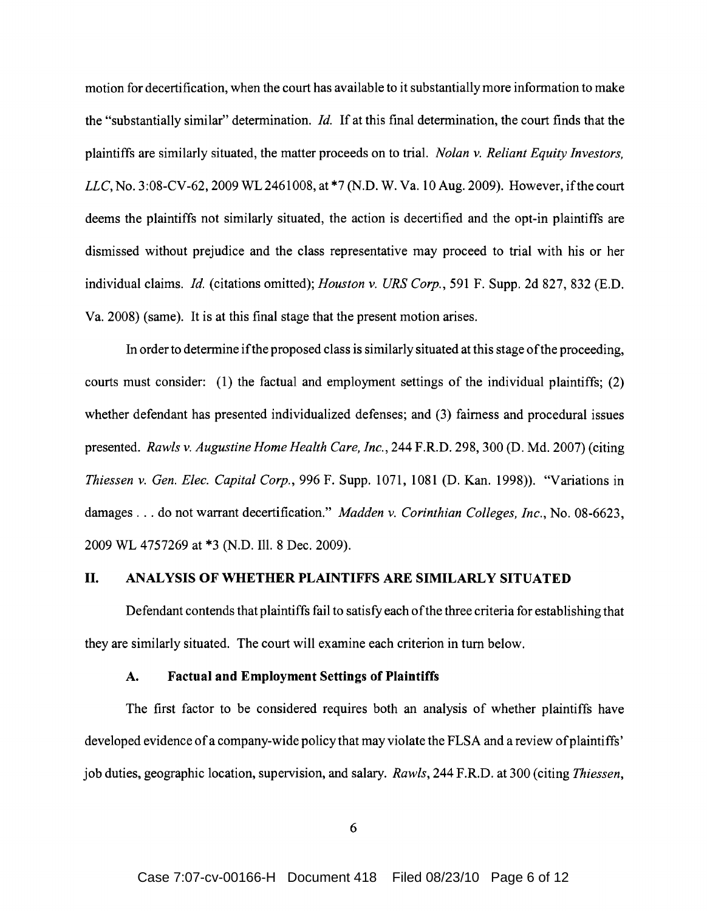motion for decertification, when the court has available to it substantially more information to make the "substantially similar" determination. *Id.* If at this final determination, the court finds that the plaintiffs are similarly situated, the matter proceeds on to trial. *Nolan* v. *Reliant Equity Investors, LLC,* No.3 :08-CV-62, 2009 WL 2461008, at \*7 (N.D. W. Va. 10 Aug. 2009). However, ifthe court deems the plaintiffs not similarly situated, the action is decertified and the opt-in plaintiffs are dismissed without prejudice and the class representative may proceed to trial with his or her individual claims. *Id.* (citations omitted); *Houston* v. *URS Corp.,* 591 F. Supp. 2d 827, 832 (E.D. Va. 2008) (same). It is at this final stage that the present motion arises.

In order to determine ifthe proposed class is similarly situated at this stage ofthe proceeding, courts must consider: (l) the factual and employment settings of the individual plaintiffs; (2) whether defendant has presented individualized defenses; and (3) fairness and procedural issues presented. *Rawls* v. *Augustine Home Health Care, Inc.,* 244 F.R.D. 298, 300 (D. Md. 2007) (citing *Thiessen* v. *Gen. Elec. Capital Corp.,* 996 F. Supp. 1071, 1081 (D. Kan. 1998)). "Variations in damages ... do not warrant decertification." *Madden* v. *Corinthian Colleges, Inc.,* No. 08-6623, 2009 WL 4757269 at \*3 (N.D. Ill. 8 Dec. 2009).

### II. ANALYSIS OF WHETHER PLAINTIFFS ARE SIMILARLY SITUATED

Defendant contends that plaintiffs fail to satisfy each ofthe three criteria for establishing that they are similarly situated. The court will examine each criterion in turn below.

## A. Factual and Employment Settings of Plaintiffs

The first factor to be considered requires both an analysis of whether plaintiffs have developed evidence of a company-wide policy that may violate the FLSA and a review of plaintiffs' job duties, geographic location, supervision, and salary. *Rawls,* 244 F.R.D. at 300 (citing *Thiessen,*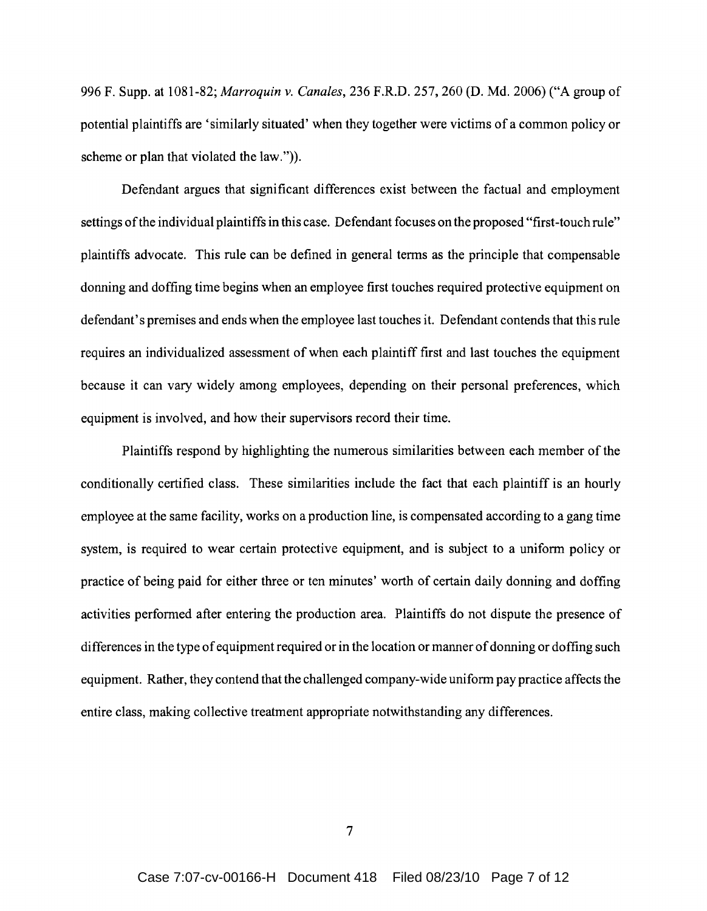996 F. Supp. at 1081-82; *Marroquin* v. *Canales,* 236 F.R.D. 257,260 (D. Md. 2006) ("A group of potential plaintiffs are 'similarly situated' when they together were victims of a common policy or scheme or plan that violated the law.")).

Defendant argues that significant differences exist between the factual and employment settings of the individual plaintiffs in this case. Defendant focuses on the proposed "first-touch rule" plaintiffs advocate. This rule can be defined in general terms as the principle that compensable donning and doffing time begins when an employee first touches required protective equipment on defendant's premises and ends when the employee last touches it. Defendant contends that this rule requires an individualized assessment of when each plaintiff first and last touches the equipment because it can vary widely among employees, depending on their personal preferences, which equipment is involved, and how their supervisors record their time.

Plaintiffs respond by highlighting the numerous similarities between each member of the conditionally certified class. These similarities include the fact that each plaintiff is an hourly employee at the same facility, works on a production line, is compensated according to a gang time system, is required to wear certain protective equipment, and is subject to a uniform policy or practice of being paid for either three or ten minutes' worth of certain daily donning and doffing activities performed after entering the production area. Plaintiffs do not dispute the presence of differences in the type of equipment required or in the location or manner of donning or doffing such equipment. Rather, they contend that the challenged company-wide uniform pay practice affects the entire class, making collective treatment appropriate notwithstanding any differences.

7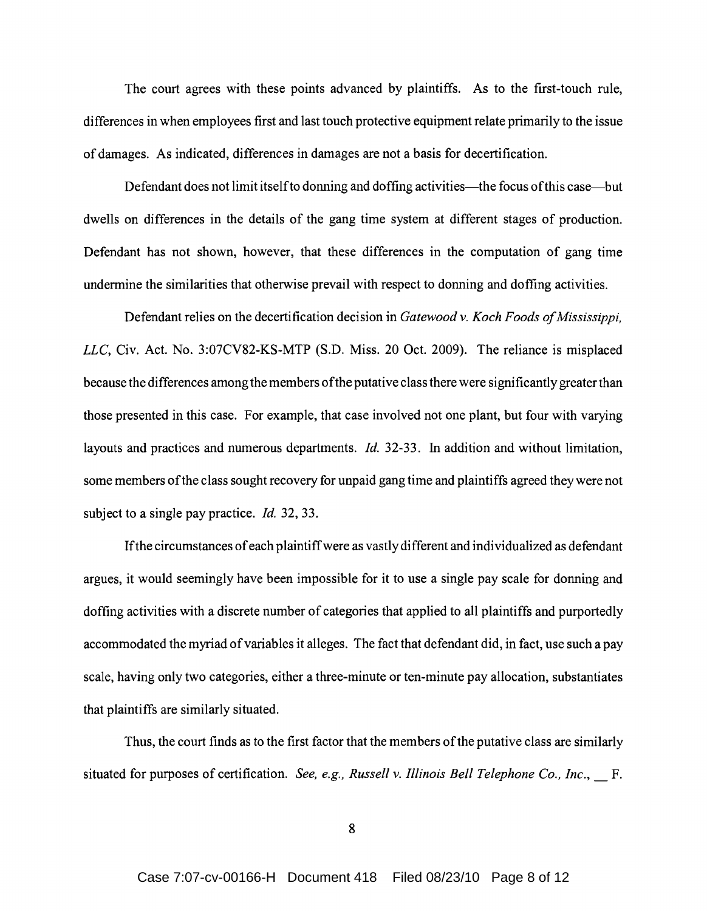The court agrees with these points advanced by plaintiffs. As to the first-touch rule, differences in when employees first and last touch protective equipment relate primarily to the issue of damages. As indicated, differences in damages are not a basis for decertification.

Defendant does not limit itself to donning and doffing activities—the focus of this case—but dwells on differences in the details of the gang time system at different stages of production. Defendant has not shown, however, that these differences in the computation of gang time undermine the similarities that otherwise prevail with respect to donning and doffing activities.

Defendant relies on the decertification decision in *Gatewood v. Koch Foods of Mississippi*, LLC, Civ. Act. No. 3:07CV82-KS-MTP (S.D. Miss. 20 Oct. 2009). The reliance is misplaced because the differences among the members ofthe putative class there were significantly greater than those presented in this case. For example, that case involved not one plant, but four with varying layouts and practices and numerous departments. *Id.* 32-33. In addition and without limitation, some members of the class sought recovery for unpaid gang time and plaintiffs agreed they were not subject to a single pay practice. *Id.* 32, 33.

If the circumstances of each plaintiff were as vastly different and individualized as defendant argues, it would seemingly have been impossible for it to use a single pay scale for donning and doffing activities with a discrete number of categories that applied to all plaintiffs and purportedly accommodated the myriad ofvariables it alleges. The fact that defendant did, in fact, use such a pay scale, having only two categories, either a three-minute or ten-minute pay allocation, substantiates that plaintiffs are similarly situated.

Thus, the court finds as to the first factor that the members ofthe putative class are similarly situated for purposes of certification. *See, e.g., Russell v. Illinois Bell Telephone Co., Inc.,* \_ F.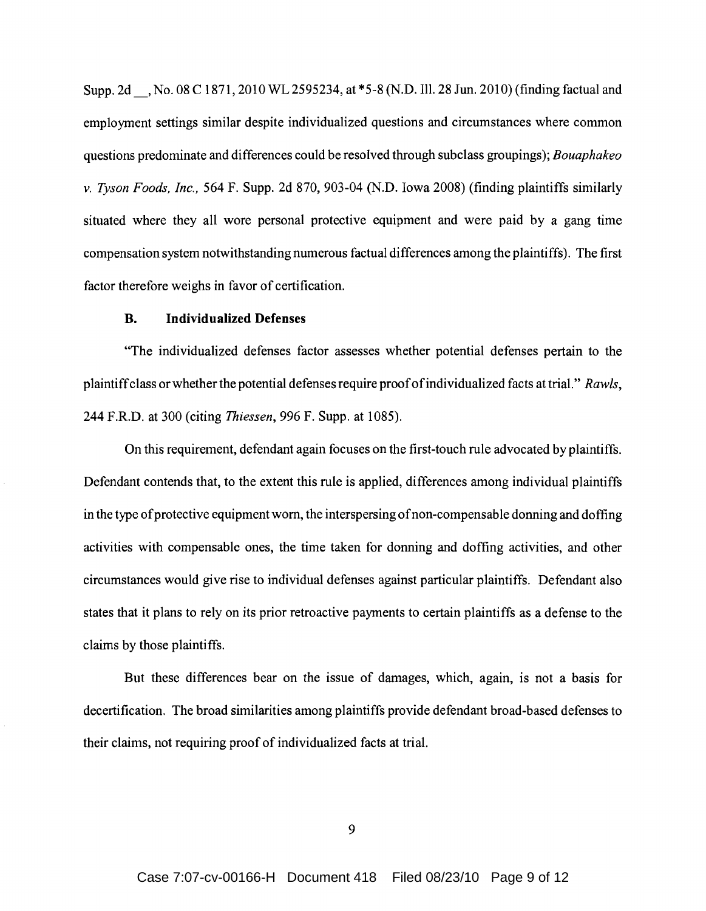Supp. 2d , No. 08 C 1871, 2010 WL 2595234, at \*5-8 (N.D. Ill. 28 Jun. 2010) (finding factual and employment settings similar despite individualized questions and circumstances where common questions predominate and differences could be resolved through subclass groupings); *Bouaphakeo v. Tyson Foods, Inc.,* 564 F. Supp. 2d 870, 903-04 (N.D. Iowa 2008) (finding plaintiffs similarly situated where they all wore personal protective equipment and were paid by a gang time compensation system notwithstanding numerous factual differences among the plaintiffs). The first factor therefore weighs in favor of certification.

## **B. Individualized Defenses**

"The individualized defenses factor assesses whether potential defenses pertain to the plaintiffclass or whether the potential defenses require proofofindividualized facts at trial." *Rawls,*  244 F.R.D. at 300 (citing *Thiessen,* 996 F. Supp. at 1085).

On this requirement, defendant again focuses on the first-touch rule advocated by plaintiffs. Defendant contends that, to the extent this rule is applied, differences among individual plaintiffs in the type of protective equipment worn, the interspersing of non-compensable donning and doffing activities with compensable ones, the time taken for donning and doffing activities, and other circumstances would give rise to individual defenses against particular plaintiffs. Defendant also states that it plans to rely on its prior retroactive payments to certain plaintiffs as a defense to the claims by those plaintiffs.

But these differences bear on the issue of damages, which, again, is not a basis for decertification. The broad similarities among plaintiffs provide defendant broad-based defenses to their claims, not requiring proof of individualized facts at trial.

9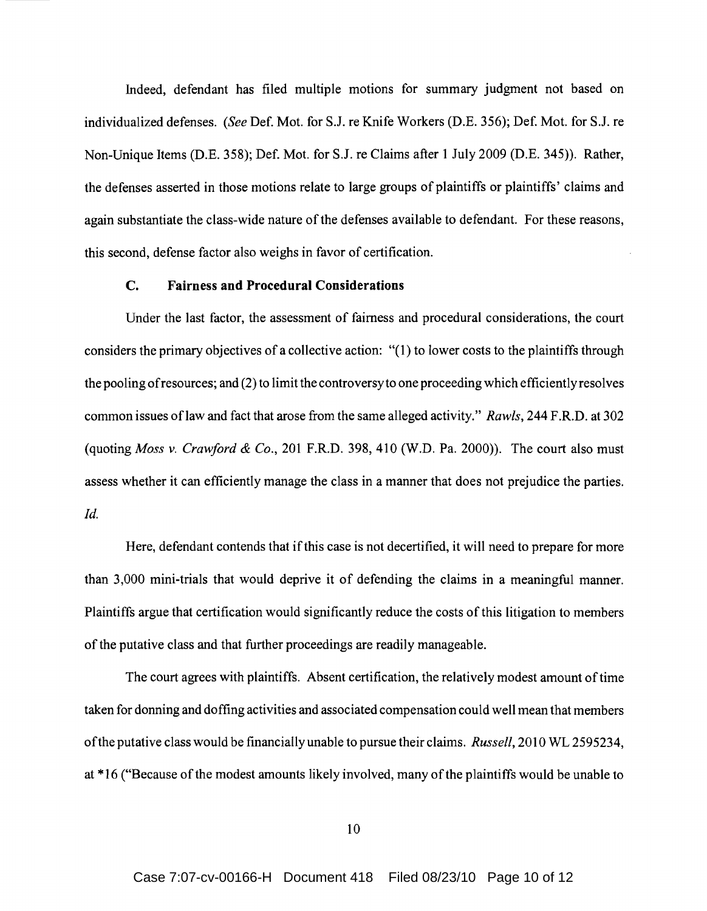Indeed, defendant has filed multiple motions for summary judgment not based on individualized defenses. *(See* Def. Mot. for SJ. re Knife Workers (D.E. 356); Def. Mot. for SJ. re Non-Unique Items (D.E. 358); Def. Mot. for S.J. re Claims after 1 July 2009 (D.E. 345)). Rather, the defenses asserted in those motions relate to large groups of plaintiffs or plaintiffs' claims and again substantiate the class-wide nature of the defenses available to defendant. For these reasons, this second, defense factor also weighs in favor of certification.

### C. **Fairness and Procedural Considerations**

Under the last factor, the assessment of fairness and procedural considerations, the court considers the primary objectives of a collective action: "(1) to lower costs to the plaintiffs through the pooling ofresources; and (2) to limit the controversyto one proceeding which efficiently resolves common issues oflaw and fact that arose from the same alleged activity." *Rawls,* 244 F.R.D. at 302 (quoting *Moss* v. *Crawford* & *Co.,* 201 F.R.D. 398,410 (W.D. Pa. 2000)). The court also must assess whether it can efficiently manage the class in a manner that does not prejudice the parties. *Id.* 

Here, defendant contends that if this case is not decertified, it will need to prepare for more than 3,000 mini-trials that would deprive it of defending the claims in a meaningful manner. Plaintiffs argue that certification would significantly reduce the costs of this litigation to members of the putative class and that further proceedings are readily manageable.

The court agrees with plaintiffs. Absent certification, the relatively modest amount oftime taken for donning and doffing activities and associated compensation could well mean that members ofthe putative class would be financially unable to pursue their claims. *Russell,* 2010 WL 2595234, at \*16 ("Because of the modest amounts likely involved, many of the plaintiffs would be unable to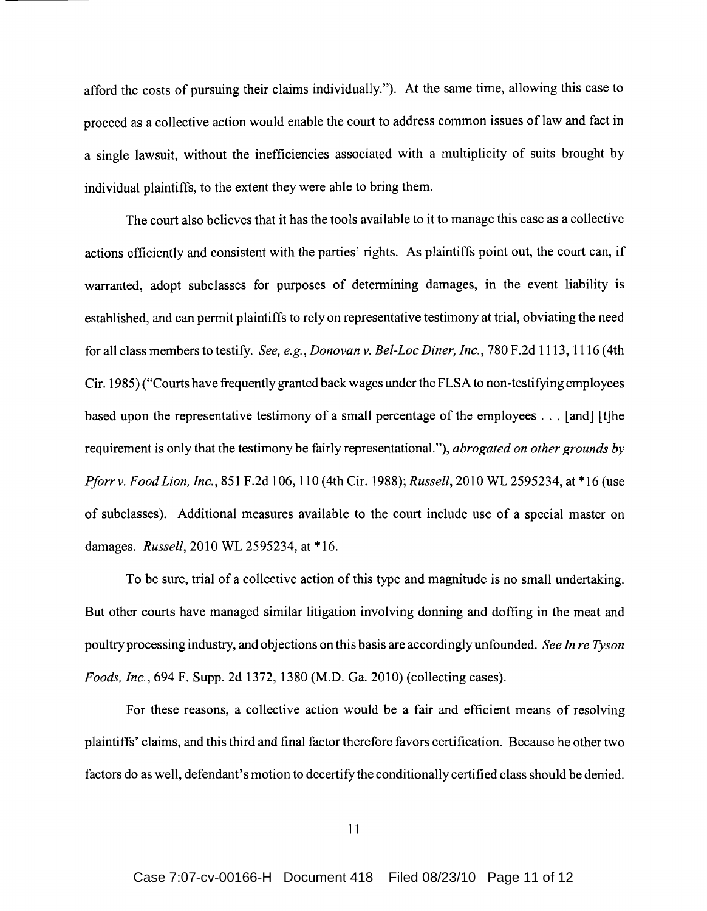afford the costs of pursuing their claims individually."). At the same time, allowing this case to proceed as a collective action would enable the court to address common issues of law and fact in a single lawsuit, without the inefficiencies associated with a multiplicity of suits brought by individual plaintiffs, to the extent they were able to bring them.

The court also believes that it has the tools available to it to manage this case as a collective actions efficiently and consistent with the parties' rights. As plaintiffs point out, the court can, if warranted, adopt subclasses for purposes of determining damages, in the event liability is established, and can permit plaintiffs to rely on representative testimony at trial, obviating the need for all class members to testify. *See, e.g., Donovan* v. *Bel-Loc Diner, Inc.,* 780 F.2d 1113, 1116 (4th Cir. 1985) ("Courts have frequently granted back wages under the FLSA to non-testifying employees based upon the representative testimony of a small percentage of the employees ... [and] [t]he requirement is only that the testimony be fairly representational."), *abrogated on other grounds by Pforrv. Food Lion, Inc.,* 851 F.2d 106, 110 (4th Cir. 1988); *Russell,* 2010 WL 2595234, at \*16 (use of subclasses). Additional measures available to the court include use of a special master on damages. *Russell,* 2010 WL 2595234, at \*16.

To be sure, trial of a collective action of this type and magnitude is no small undertaking. But other courts have managed similar litigation involving donning and doffing in the meat and poultry processing industry, and objections on this basis are accordingly unfounded. *See In re Tyson Foods, Inc.,* 694 F. Supp. 2d 1372, 1380 (M.D. Ga. 2010) (collecting cases).

For these reasons, a collective action would be a fair and efficient means of resolving plaintiffs' claims, and this third and final factor therefore favors certification. Because he other two factors do as well, defendant's motion to decertify the conditionally certified class should be denied.